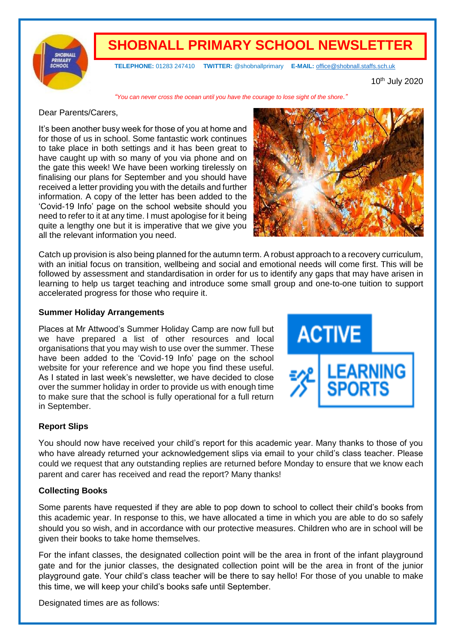

# **SHOBNALL PRIMARY SCHOOL NEWSLETTER**

**TELEPHONE:** 01283 247410 **TWITTER:** @shobnallprimary **E-MAIL:** [office@shobnall.staffs.sch.uk](mailto:office@shobnall.staffs.sch.uk)

10th July 2020

*"You can never cross the ocean until you have the courage to lose sight of the shore."*

### Dear Parents/Carers,

It's been another busy week for those of you at home and for those of us in school. Some fantastic work continues to take place in both settings and it has been great to have caught up with so many of you via phone and on the gate this week! We have been working tirelessly on finalising our plans for September and you should have received a letter providing you with the details and further information. A copy of the letter has been added to the 'Covid-19 Info' page on the school website should you need to refer to it at any time. I must apologise for it being quite a lengthy one but it is imperative that we give you all the relevant information you need.



Catch up provision is also being planned for the autumn term. A robust approach to a recovery curriculum, with an initial focus on transition, wellbeing and social and emotional needs will come first. This will be followed by assessment and standardisation in order for us to identify any gaps that may have arisen in learning to help us target teaching and introduce some small group and one-to-one tuition to support accelerated progress for those who require it.

### **Summer Holiday Arrangements**

Places at Mr Attwood's Summer Holiday Camp are now full but we have prepared a list of other resources and local organisations that you may wish to use over the summer. These have been added to the 'Covid-19 Info' page on the school website for your reference and we hope you find these useful. As I stated in last week's newsletter, we have decided to close over the summer holiday in order to provide us with enough time to make sure that the school is fully operational for a full return in September.



# **Report Slips**

You should now have received your child's report for this academic year. Many thanks to those of you who have already returned your acknowledgement slips via email to your child's class teacher. Please could we request that any outstanding replies are returned before Monday to ensure that we know each parent and carer has received and read the report? Many thanks!

# **Collecting Books**

Some parents have requested if they are able to pop down to school to collect their child's books from this academic year. In response to this, we have allocated a time in which you are able to do so safely should you so wish, and in accordance with our protective measures. Children who are in school will be given their books to take home themselves.

For the infant classes, the designated collection point will be the area in front of the infant playground gate and for the junior classes, the designated collection point will be the area in front of the junior playground gate. Your child's class teacher will be there to say hello! For those of you unable to make this time, we will keep your child's books safe until September.

Designated times are as follows: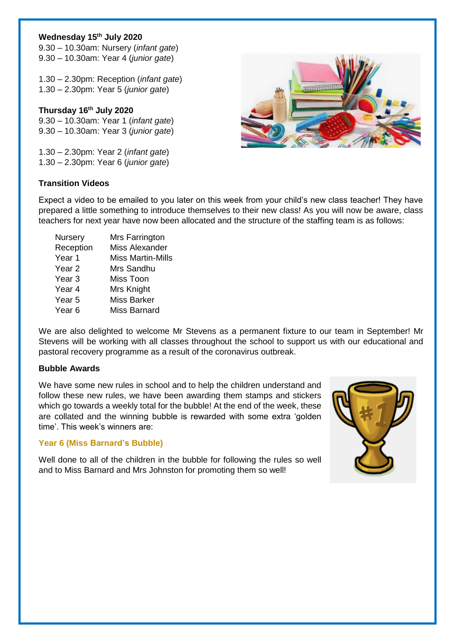# **Wednesday 15th July 2020**

9.30 – 10.30am: Nursery (*infant gate*) 9.30 – 10.30am: Year 4 (*junior gate*)

1.30 – 2.30pm: Reception (*infant gate*) 1.30 – 2.30pm: Year 5 (*junior gate*)

**Thursday 16th July 2020** 9.30 – 10.30am: Year 1 (*infant gate*) 9.30 – 10.30am: Year 3 (*junior gate*)

1.30 – 2.30pm: Year 2 (*infant gate*) 1.30 – 2.30pm: Year 6 (*junior gate*)

# **Transition Videos**



Expect a video to be emailed to you later on this week from your child's new class teacher! They have prepared a little something to introduce themselves to their new class! As you will now be aware, class teachers for next year have now been allocated and the structure of the staffing team is as follows:

| Nursery   | Mrs Farrington           |
|-----------|--------------------------|
| Reception | <b>Miss Alexander</b>    |
| Year 1    | <b>Miss Martin-Mills</b> |
| Year 2    | Mrs Sandhu               |
| Year 3    | Miss Toon                |
| Year 4    | Mrs Knight               |
| Year 5    | <b>Miss Barker</b>       |
| Year 6    | Miss Barnard             |
|           |                          |

We are also delighted to welcome Mr Stevens as a permanent fixture to our team in September! Mr Stevens will be working with all classes throughout the school to support us with our educational and pastoral recovery programme as a result of the coronavirus outbreak.

# **Bubble Awards**

We have some new rules in school and to help the children understand and follow these new rules, we have been awarding them stamps and stickers which go towards a weekly total for the bubble! At the end of the week, these are collated and the winning bubble is rewarded with some extra 'golden time'. This week's winners are:

# **Year 6 (Miss Barnard's Bubble)**

Well done to all of the children in the bubble for following the rules so well and to Miss Barnard and Mrs Johnston for promoting them so well!